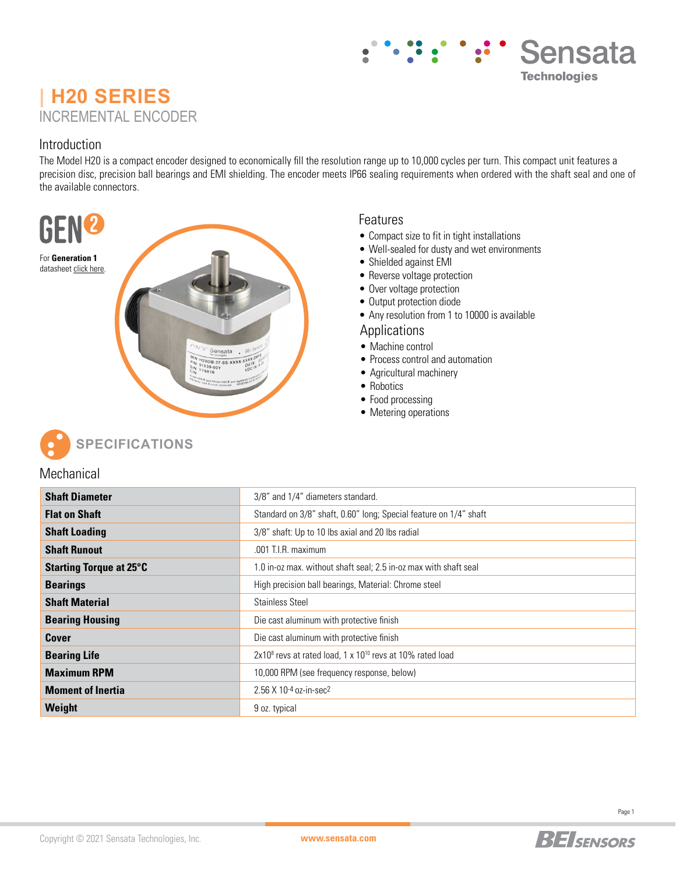# **| H20 SERIES** INCREMENTAL ENCODER

### Introduction

The Model H20 is a compact encoder designed to economically fill the resolution range up to 10,000 cycles per turn. This compact unit features a precision disc, precision ball bearings and EMI shielding. The encoder meets IP66 sealing requirements when ordered with the shaft seal and one of the available connectors.



#### Features

- Compact size to fit in tight installations
- Well-sealed for dusty and wet environments
- Shielded against EMI
- Reverse voltage protection
- Over voltage protection
- Output protection diode
- Any resolution from 1 to 10000 is available

#### Applications

- Machine control
- Process control and automation
- Agricultural machinery
- Robotics
- Food processing
- Metering operations



### **Mechanical**

| <b>Shaft Diameter</b>          | 3/8" and 1/4" diameters standard.                                                 |  |  |  |
|--------------------------------|-----------------------------------------------------------------------------------|--|--|--|
| <b>Flat on Shaft</b>           | Standard on 3/8" shaft, 0.60" long; Special feature on 1/4" shaft                 |  |  |  |
| <b>Shaft Loading</b>           | 3/8" shaft: Up to 10 lbs axial and 20 lbs radial                                  |  |  |  |
| <b>Shaft Runout</b>            | .001 T.I.R. maximum                                                               |  |  |  |
| <b>Starting Torque at 25°C</b> | 1.0 in-oz max. without shaft seal; 2.5 in-oz max with shaft seal                  |  |  |  |
| <b>Bearings</b>                | High precision ball bearings, Material: Chrome steel                              |  |  |  |
| <b>Shaft Material</b>          | <b>Stainless Steel</b>                                                            |  |  |  |
| <b>Bearing Housing</b>         | Die cast aluminum with protective finish                                          |  |  |  |
| Cover                          | Die cast aluminum with protective finish                                          |  |  |  |
| <b>Bearing Life</b>            | 2x10 <sup>8</sup> revs at rated load, 1 x 10 <sup>10</sup> revs at 10% rated load |  |  |  |
| <b>Maximum RPM</b>             | 10,000 RPM (see frequency response, below)                                        |  |  |  |
| <b>Moment of Inertia</b>       | 2.56 X 10-4 oz-in-sec2                                                            |  |  |  |
| Weight                         | 9 oz. typical                                                                     |  |  |  |



Sensata

**Technologies**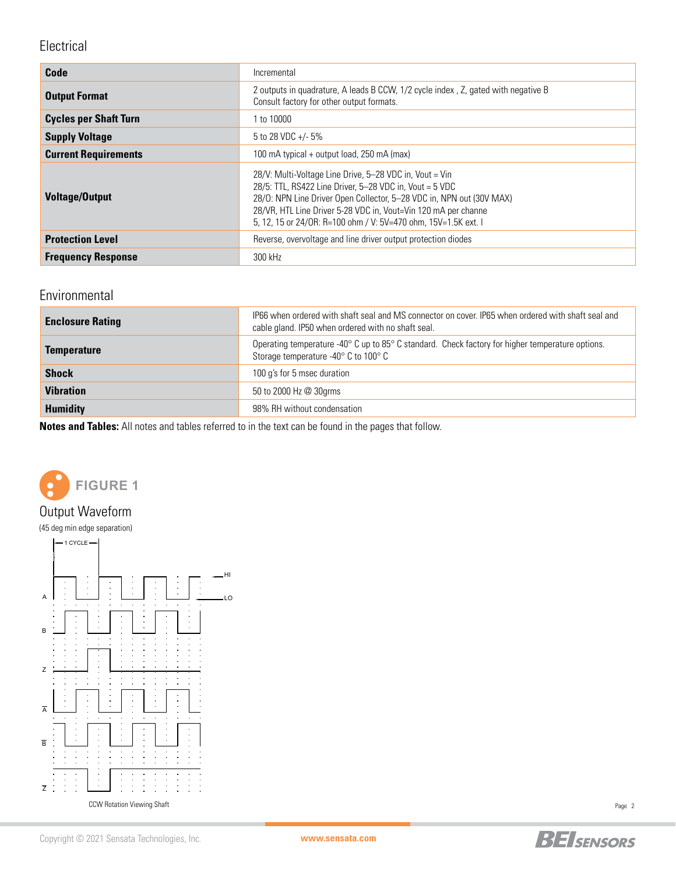## Electrical

| Code                         | Incremental                                                                                                                                                                                                                                                                                                                    |
|------------------------------|--------------------------------------------------------------------------------------------------------------------------------------------------------------------------------------------------------------------------------------------------------------------------------------------------------------------------------|
| <b>Output Format</b>         | 2 outputs in quadrature, A leads B CCW, 1/2 cycle index, Z, gated with negative B<br>Consult factory for other output formats.                                                                                                                                                                                                 |
| <b>Cycles per Shaft Turn</b> | 1 to 10000                                                                                                                                                                                                                                                                                                                     |
| <b>Supply Voltage</b>        | 5 to 28 VDC $+/-5\%$                                                                                                                                                                                                                                                                                                           |
| <b>Current Requirements</b>  | 100 mA typical + output load, 250 mA (max)                                                                                                                                                                                                                                                                                     |
| <b>Voltage/Output</b>        | 28/V: Multi-Voltage Line Drive, 5-28 VDC in, Vout = Vin<br>28/5: TTL, RS422 Line Driver, 5-28 VDC in, Vout = 5 VDC<br>28/0: NPN Line Driver Open Collector, 5-28 VDC in, NPN out (30V MAX)<br>28/VR, HTL Line Driver 5-28 VDC in, Vout=Vin 120 mA per channe<br>5. 12. 15 or 24/0R: R=100 ohm / V: 5V=470 ohm. 15V=1.5K ext. I |
| <b>Protection Level</b>      | Reverse, overvoltage and line driver output protection diodes                                                                                                                                                                                                                                                                  |
| <b>Frequency Response</b>    | 300 kHz                                                                                                                                                                                                                                                                                                                        |

## Environmental

| <b>Enclosure Rating</b> | IP66 when ordered with shaft seal and MS connector on cover. IP65 when ordered with shaft seal and<br>cable gland. IP50 when ordered with no shaft seal. |
|-------------------------|----------------------------------------------------------------------------------------------------------------------------------------------------------|
| <b>Temperature</b>      | Operating temperature -40° C up to 85° C standard. Check factory for higher temperature options.<br>Storage temperature -40° C to 100° C                 |
| <b>Shock</b>            | 100 g's for 5 msec duration                                                                                                                              |
| <b>Vibration</b>        | 50 to 2000 Hz @ 30grms                                                                                                                                   |
| <b>Humidity</b>         | 98% RH without condensation                                                                                                                              |

**Notes and Tables:** All notes and tables referred to in the text can be found in the pages that follow.



## Output Waveform

(45 deg min edge separation)



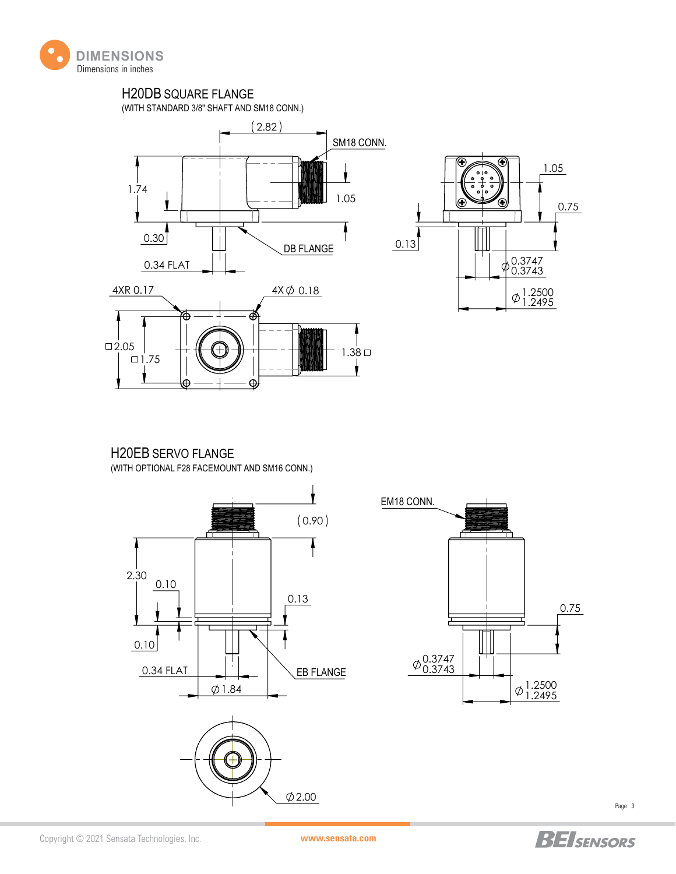

## H20DB SQUARE FLANGE

(WITH STANDARD 3/8" SHAFT AND SM18 CONN.)







## H20EB SERVO FLANGE

(WITH OPTIONAL F28 FACEMOUNT AND SM16 CONN.)









Page 3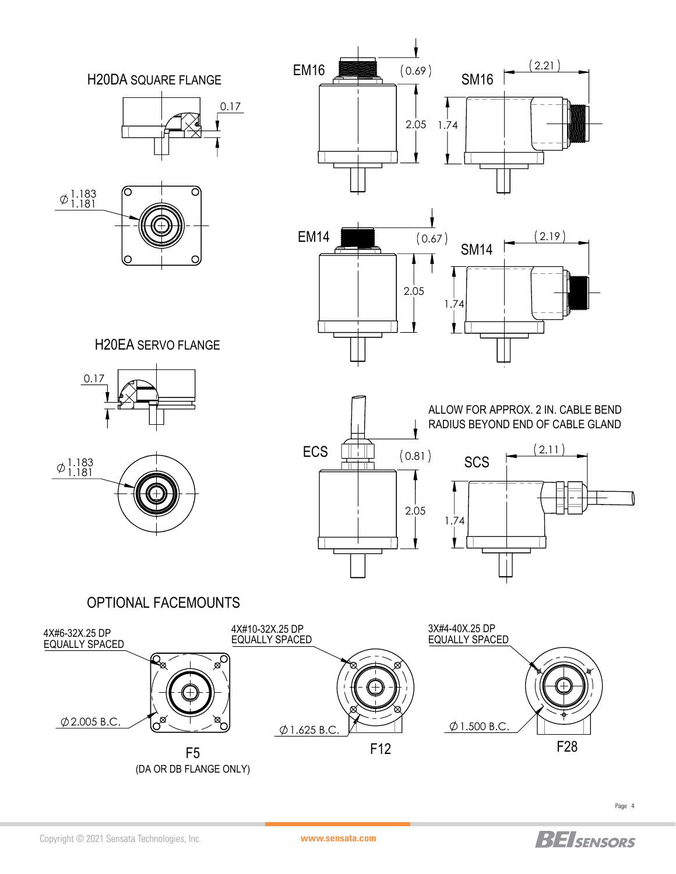

Copyright © 2021 Sensata Technologies, Inc. **www.sensata.com**

**BEI**SENSORS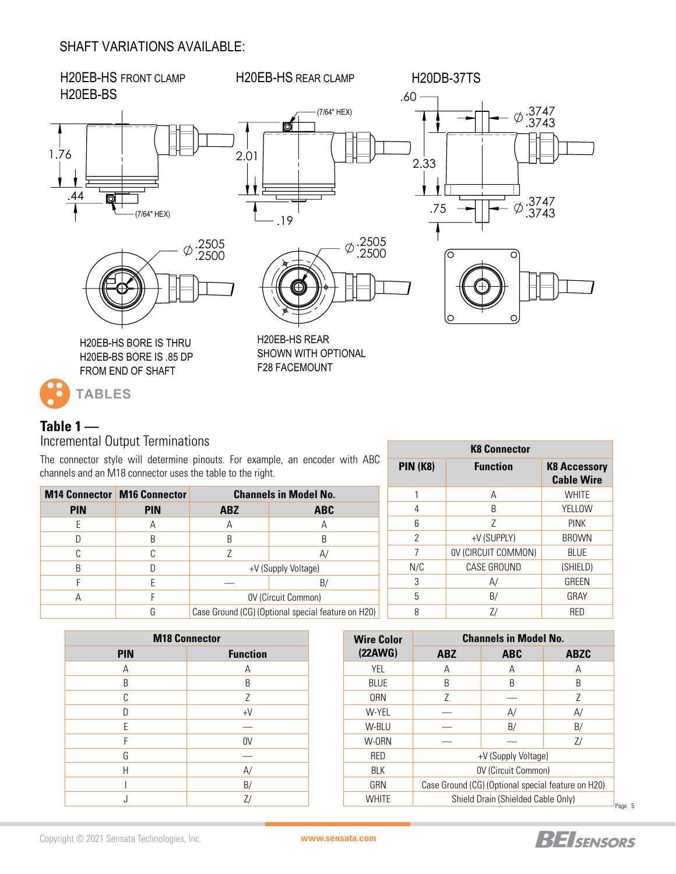### SHAFT VARIATIONS AVAILABLE:



### **Table 1 —** Incremental Output Terminations

The connector style will determine pinouts. For example, an encoder with ABC channels and an M18 connector uses the table to the right.

| <del>undimolo dha dh nino uumioutur duuu thullo tu thu nght.</del> |                                      |                                                    |                |     |                     | <b>Cable Wire</b> |
|--------------------------------------------------------------------|--------------------------------------|----------------------------------------------------|----------------|-----|---------------------|-------------------|
|                                                                    | <b>M14 Connector   M16 Connector</b> | <b>Channels in Model No.</b>                       |                |     | A                   | <b>WHITE</b>      |
| <b>PIN</b>                                                         | <b>PIN</b>                           | <b>ABZ</b>                                         | <b>ABC</b>     |     |                     | <b>YELLOW</b>     |
|                                                                    | $\overline{A}$                       | $\overline{A}$                                     | $\overline{A}$ |     |                     | <b>PINK</b>       |
|                                                                    | B.                                   | B                                                  |                |     | +V (SUPPLY)         | <b>BROWN</b>      |
|                                                                    |                                      | A/                                                 |                |     | OV (CIRCUIT COMMON) | <b>BLUE</b>       |
| B                                                                  |                                      | +V (Supply Voltage)                                |                | N/C | CASE GROUND         | (SHIELD)          |
|                                                                    |                                      | B/                                                 |                |     | A/                  | GREEN             |
| А                                                                  |                                      | OV (Circuit Common)                                |                |     | B/                  | GRAY              |
|                                                                    | G                                    | Case Ground (CG) (Optional special feature on H20) |                |     |                     | <b>RED</b>        |

| <b>M18 Connector</b> |                 |  |  |  |  |
|----------------------|-----------------|--|--|--|--|
| <b>PIN</b>           | <b>Function</b> |  |  |  |  |
| А                    | Α               |  |  |  |  |
| B                    | B               |  |  |  |  |
| C                    | Z               |  |  |  |  |
| D                    | $+V$            |  |  |  |  |
| F                    |                 |  |  |  |  |
| F                    | 0V              |  |  |  |  |
| G                    |                 |  |  |  |  |
| Н                    | A/              |  |  |  |  |
|                      | B/              |  |  |  |  |
|                      |                 |  |  |  |  |

| (22AWG)<br><b>ABZ</b><br><b>ABC</b><br><b>ABZC</b><br>YEL<br>А<br>Α<br>Α<br><b>BLUE</b><br>B<br>B<br>B<br><b>ORN</b><br>Ζ<br>Z<br>W-YEL<br>A/<br>A/<br>W-BLU<br>B/<br>B/<br>W-0RN<br>Z/<br><b>RED</b><br>+V (Supply Voltage) |
|------------------------------------------------------------------------------------------------------------------------------------------------------------------------------------------------------------------------------|
|                                                                                                                                                                                                                              |
|                                                                                                                                                                                                                              |
|                                                                                                                                                                                                                              |
|                                                                                                                                                                                                                              |
|                                                                                                                                                                                                                              |
|                                                                                                                                                                                                                              |
|                                                                                                                                                                                                                              |
|                                                                                                                                                                                                                              |
| OV (Circuit Common)<br>BLK                                                                                                                                                                                                   |
| Case Ground (CG) (Optional special feature on H20)<br>GRN                                                                                                                                                                    |
| WHITE<br>Shield Drain (Shielded Cable Only)                                                                                                                                                                                  |

**K8 Connector PIN (K8) Function K8 Accessory** 

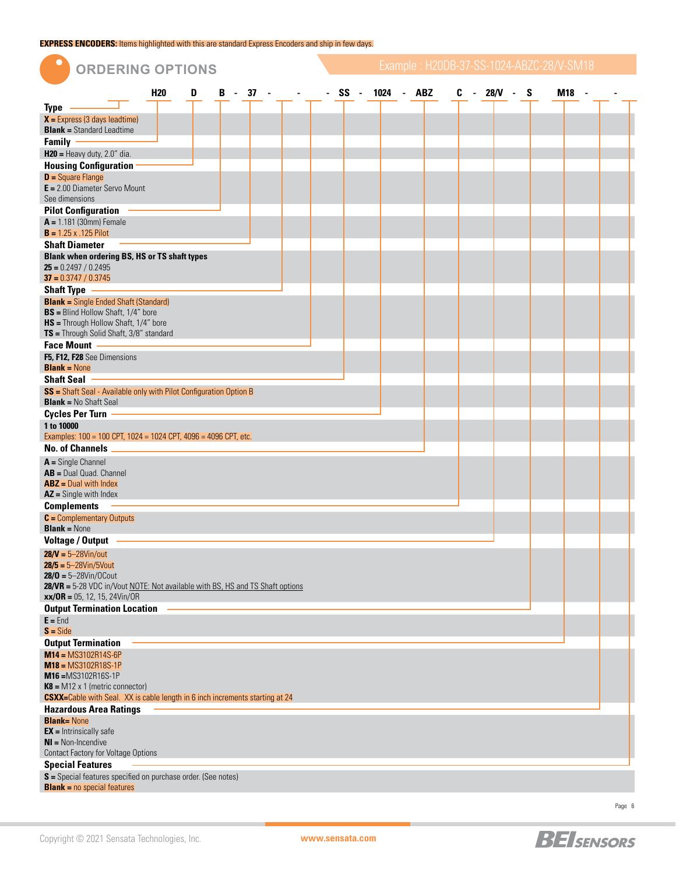**EXPRESS ENCODERS:** Items highlighted with this are standard Express Encoders and ship in few days.

| $\bullet$<br><b>ORDERING OPTIONS</b>                                                                       |            |   |   |  |           |                   |   |            | Example: H20DB-37-SS-1024-ABZC-28/V-SM18 |  |
|------------------------------------------------------------------------------------------------------------|------------|---|---|--|-----------|-------------------|---|------------|------------------------------------------|--|
|                                                                                                            | <b>H20</b> | D | В |  | $-37 - -$ | - SS - 1024 - ABZ | C | - 28/V - S | <b>M18</b>                               |  |
| <b>Type</b>                                                                                                |            |   |   |  |           |                   |   |            |                                          |  |
| $X =$ Express (3 days leadtime)                                                                            |            |   |   |  |           |                   |   |            |                                          |  |
| <b>Blank = Standard Leadtime</b>                                                                           |            |   |   |  |           |                   |   |            |                                          |  |
| <b>Family</b>                                                                                              |            |   |   |  |           |                   |   |            |                                          |  |
| $H20$ = Heavy duty, 2.0" dia.                                                                              |            |   |   |  |           |                   |   |            |                                          |  |
| <b>Housing Configuration</b>                                                                               |            |   |   |  |           |                   |   |            |                                          |  |
| $D =$ Square Flange                                                                                        |            |   |   |  |           |                   |   |            |                                          |  |
| $E = 2.00$ Diameter Servo Mount<br>See dimensions                                                          |            |   |   |  |           |                   |   |            |                                          |  |
| <b>Pilot Configuration</b>                                                                                 |            |   |   |  |           |                   |   |            |                                          |  |
| $A = 1.181$ (30mm) Female                                                                                  |            |   |   |  |           |                   |   |            |                                          |  |
| $B = 1.25 x .125$ Pilot                                                                                    |            |   |   |  |           |                   |   |            |                                          |  |
| <b>Shaft Diameter</b>                                                                                      |            |   |   |  |           |                   |   |            |                                          |  |
| <b>Blank when ordering BS, HS or TS shaft types</b>                                                        |            |   |   |  |           |                   |   |            |                                          |  |
| $25 = 0.2497 / 0.2495$<br>$37 = 0.3747 / 0.3745$                                                           |            |   |   |  |           |                   |   |            |                                          |  |
| <b>Shaft Type</b>                                                                                          |            |   |   |  |           |                   |   |            |                                          |  |
| <b>Blank</b> = Single Ended Shaft (Standard)                                                               |            |   |   |  |           |                   |   |            |                                          |  |
| <b>BS</b> = Blind Hollow Shaft, 1/4" bore                                                                  |            |   |   |  |           |                   |   |            |                                          |  |
| <b>HS</b> = Through Hollow Shaft, 1/4" bore                                                                |            |   |   |  |           |                   |   |            |                                          |  |
| TS = Through Solid Shaft, 3/8" standard                                                                    |            |   |   |  |           |                   |   |            |                                          |  |
| <b>Face Mount</b>                                                                                          |            |   |   |  |           |                   |   |            |                                          |  |
| F5, F12, F28 See Dimensions                                                                                |            |   |   |  |           |                   |   |            |                                          |  |
| <b>Blank</b> = $None$<br><b>Shaft Seal</b>                                                                 |            |   |   |  |           |                   |   |            |                                          |  |
| SS = Shaft Seal - Available only with Pilot Configuration Option B                                         |            |   |   |  |           |                   |   |            |                                          |  |
| <b>Blank = No Shaft Seal</b>                                                                               |            |   |   |  |           |                   |   |            |                                          |  |
| <b>Cycles Per Turn</b>                                                                                     |            |   |   |  |           |                   |   |            |                                          |  |
| 1 to 10000                                                                                                 |            |   |   |  |           |                   |   |            |                                          |  |
| Examples: 100 = 100 CPT, 1024 = 1024 CPT, 4096 = 4096 CPT, etc.                                            |            |   |   |  |           |                   |   |            |                                          |  |
| <b>No. of Channels</b>                                                                                     |            |   |   |  |           |                   |   |            |                                          |  |
| $A =$ Single Channel                                                                                       |            |   |   |  |           |                   |   |            |                                          |  |
| $AB = Dual Quad$ . Channel                                                                                 |            |   |   |  |           |                   |   |            |                                          |  |
| $ABZ = Dual$ with Index<br>$AZ =$ Single with Index                                                        |            |   |   |  |           |                   |   |            |                                          |  |
| <b>Complements</b>                                                                                         |            |   |   |  |           |                   |   |            |                                          |  |
| $C =$ Complementary Outputs                                                                                |            |   |   |  |           |                   |   |            |                                          |  |
| <b>Blank = None</b>                                                                                        |            |   |   |  |           |                   |   |            |                                          |  |
| <b>Voltage / Output</b>                                                                                    |            |   |   |  |           |                   |   |            |                                          |  |
| $28/V = 5 - 28V$ in/out                                                                                    |            |   |   |  |           |                   |   |            |                                          |  |
| $28/5 = 5 - 28 \text{V} \cdot \text{m} / 5 \text{V} \cdot \text{out}$                                      |            |   |   |  |           |                   |   |            |                                          |  |
| $28/0 = 5 - 28V$ in/OCout<br>28/VR = 5-28 VDC in/Vout NOTE: Not available with BS, HS and TS Shaft options |            |   |   |  |           |                   |   |            |                                          |  |
| $xx/OR = 05$ , 12, 15, 24Vin/OR                                                                            |            |   |   |  |           |                   |   |            |                                          |  |
| <b>Output Termination Location</b>                                                                         |            |   |   |  |           |                   |   |            |                                          |  |
| $E =$ End                                                                                                  |            |   |   |  |           |                   |   |            |                                          |  |
| $S = \text{Side}$                                                                                          |            |   |   |  |           |                   |   |            |                                          |  |
| <b>Output Termination</b>                                                                                  |            |   |   |  |           |                   |   |            |                                          |  |
| $M14 = MS3102R14S-6P$                                                                                      |            |   |   |  |           |                   |   |            |                                          |  |
| $M18 = MS3102R18S-1P$<br>M16=MS3102R16S-1P                                                                 |            |   |   |  |           |                   |   |            |                                          |  |
| $K8 = M12 \times 1$ (metric connector)                                                                     |            |   |   |  |           |                   |   |            |                                          |  |
| <b>CSXX</b> =Cable with Seal. XX is cable length in 6 inch increments starting at 24                       |            |   |   |  |           |                   |   |            |                                          |  |
| <b>Hazardous Area Ratings</b>                                                                              |            |   |   |  |           |                   |   |            |                                          |  |
| <b>Blank=None</b>                                                                                          |            |   |   |  |           |                   |   |            |                                          |  |
| $EX =$ Intrinsically safe<br>$NI = Non-Incendive$                                                          |            |   |   |  |           |                   |   |            |                                          |  |
| <b>Contact Factory for Voltage Options</b>                                                                 |            |   |   |  |           |                   |   |            |                                          |  |
| <b>Special Features</b>                                                                                    |            |   |   |  |           |                   |   |            |                                          |  |
| S = Special features specified on purchase order. (See notes)                                              |            |   |   |  |           |                   |   |            |                                          |  |
| <b>Blank</b> = $no$ special features                                                                       |            |   |   |  |           |                   |   |            |                                          |  |
|                                                                                                            |            |   |   |  |           |                   |   |            |                                          |  |

Page 6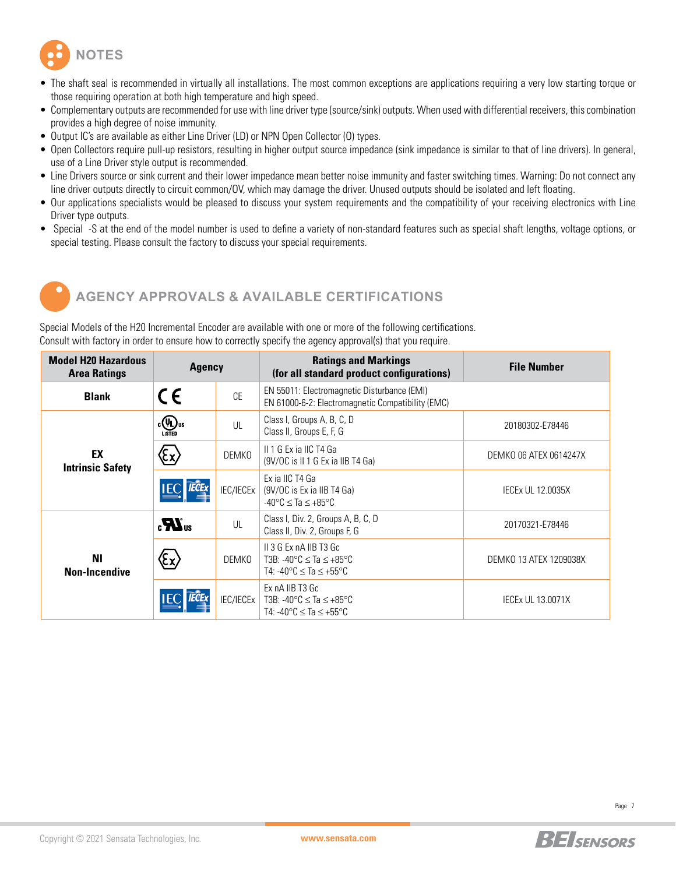

- The shaft seal is recommended in virtually all installations. The most common exceptions are applications requiring a very low starting torque or those requiring operation at both high temperature and high speed.
- Complementary outputs are recommended for use with line driver type (source/sink) outputs. When used with differential receivers, this combination provides a high degree of noise immunity.
- Output IC's are available as either Line Driver (LD) or NPN Open Collector (O) types.
- Open Collectors require pull-up resistors, resulting in higher output source impedance (sink impedance is similar to that of line drivers). In general, use of a Line Driver style output is recommended.
- Line Drivers source or sink current and their lower impedance mean better noise immunity and faster switching times. Warning: Do not connect any line driver outputs directly to circuit common/OV, which may damage the driver. Unused outputs should be isolated and left floating.
- Our applications specialists would be pleased to discuss your system requirements and the compatibility of your receiving electronics with Line Driver type outputs.
- Special -S at the end of the model number is used to define a variety of non-standard features such as special shaft lengths, voltage options, or special testing. Please consult the factory to discuss your special requirements.



# **AGENCY APPROVALS & AVAILABLE CERTIFICATIONS**

Special Models of the H20 Incremental Encoder are available with one or more of the following certifications. Consult with factory in order to ensure how to correctly specify the agency approval(s) that you require.

| <b>Model H20 Hazardous</b><br><b>Area Ratings</b> | <b>Agency</b>                       |              | <b>Ratings and Markings</b><br>(for all standard product configurations)                                                                  | <b>File Number</b>       |  |  |
|---------------------------------------------------|-------------------------------------|--------------|-------------------------------------------------------------------------------------------------------------------------------------------|--------------------------|--|--|
| <b>Blank</b>                                      | CE                                  | <b>CE</b>    | EN 55011: Electromagnetic Disturbance (EMI)<br>EN 61000-6-2: Electromagnetic Compatibility (EMC)                                          |                          |  |  |
|                                                   | $_{\mathfrak{c}}$ (Up) us<br>LISTED | UL           | Class I, Groups A, B, C, D<br>Class II, Groups E, F, G                                                                                    | 20180302-E78446          |  |  |
| EX<br><b>Intrinsic Safety</b>                     | Έx)                                 | <b>DEMKO</b> | II 1 G Ex ia IIC T4 Ga<br>(9V/OC is II 1 G Ex ia IIB T4 Ga)                                                                               | DEMKO 06 ATEX 0614247X   |  |  |
|                                                   | <b>IECE</b>                         | IEC/IECEx    | Ex ia IIC T4 Ga<br>$(9V/OC)$ is Ex ia IIB T4 Ga)<br>$-40^{\circ}$ C $\leq$ Ta $\leq$ $+85^{\circ}$ C                                      | <b>IECEX UL 12.0035X</b> |  |  |
|                                                   | $\boldsymbol{H}_{\text{us}}$        | UL           | Class I, Div. 2, Groups A, B, C, D<br>Class II, Div. 2, Groups F, G                                                                       | 20170321-E78446          |  |  |
| ΝI<br><b>Non-Incendive</b>                        | Έχ)                                 | DEMKO        | $II$ 3 G Ex nA IIB T3 Gc<br>T3B: $-40^{\circ}$ C $\leq$ Ta $\leq$ $+85^{\circ}$ C<br>T4: $-40^{\circ}$ C $\leq$ Ta $\leq$ $+55^{\circ}$ C | DEMKO 13 ATEX 1209038X   |  |  |
|                                                   |                                     | IEC/IECEx    | Ex nA IIB T3 Gc<br>T3B: -40 $\degree$ C $\leq$ Ta $\leq$ +85 $\degree$ C<br>T4: $-40^{\circ}$ C $\leq$ Ta $\leq$ $+55^{\circ}$ C          | <b>IECEX UL 13.0071X</b> |  |  |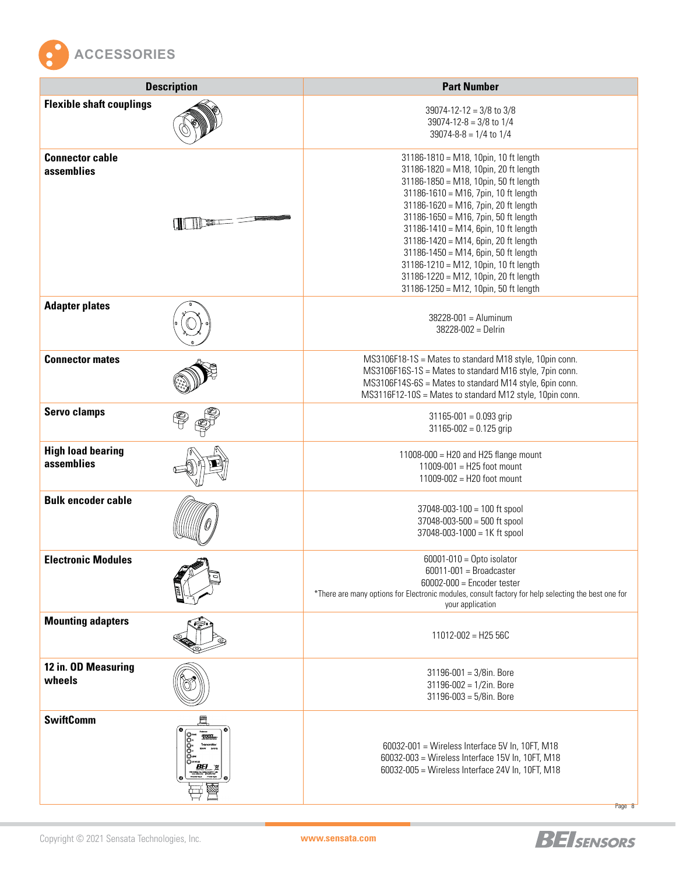

| <b>Description</b>                     | <b>Part Number</b>                                                                                                                                                                                                                                                                                                                                                                                                                                                                                 |
|----------------------------------------|----------------------------------------------------------------------------------------------------------------------------------------------------------------------------------------------------------------------------------------------------------------------------------------------------------------------------------------------------------------------------------------------------------------------------------------------------------------------------------------------------|
| <b>Flexible shaft couplings</b>        | 39074-12-12 = $3/8$ to $3/8$<br>39074-12-8 = $3/8$ to $1/4$<br>$39074 - 8 - 8 = 1/4$ to $1/4$                                                                                                                                                                                                                                                                                                                                                                                                      |
| <b>Connector cable</b><br>assemblies   | 31186-1810 = M18, 10pin, 10 ft length<br>31186-1820 = M18, 10pin, 20 ft length<br>31186-1850 = M18, 10pin, 50 ft length<br>31186-1610 = M16, 7pin, 10 ft length<br>31186-1620 = M16, 7pin, 20 ft length<br>31186-1650 = M16, 7pin, 50 ft length<br>31186-1410 = M14, 6pin, 10 ft length<br>31186-1420 = M14, 6pin, 20 ft length<br>31186-1450 = M14, 6pin, 50 ft length<br>31186-1210 = M12, 10pin, 10 ft length<br>31186-1220 = M12, 10pin, 20 ft length<br>31186-1250 = M12, 10pin, 50 ft length |
| <b>Adapter plates</b>                  | $38228 - 001 =$ Aluminum<br>$38228 - 002 =$ Delrin                                                                                                                                                                                                                                                                                                                                                                                                                                                 |
| <b>Connector mates</b>                 | MS3106F18-1S = Mates to standard M18 style, 10pin conn.<br>MS3106F16S-1S = Mates to standard M16 style, 7pin conn.<br>MS3106F14S-6S = Mates to standard M14 style, 6pin conn.<br>MS3116F12-10S = Mates to standard M12 style, 10pin conn.                                                                                                                                                                                                                                                          |
| <b>Servo clamps</b>                    | $31165 - 001 = 0.093$ grip<br>$31165 - 002 = 0.125$ grip                                                                                                                                                                                                                                                                                                                                                                                                                                           |
| <b>High load bearing</b><br>assemblies | 11008-000 = H20 and H25 flange mount<br>11009-001 = H25 foot mount<br>11009-002 = H20 foot mount                                                                                                                                                                                                                                                                                                                                                                                                   |
| <b>Bulk encoder cable</b>              | $37048 - 003 - 100 = 100$ ft spool<br>$37048 - 003 - 500 = 500$ ft spool<br>37048-003-1000 = 1K ft spool                                                                                                                                                                                                                                                                                                                                                                                           |
| <b>Electronic Modules</b>              | $60001 - 010 =$ Opto isolator<br>$60011 - 001 =$ Broadcaster<br>$60002 - 000 =$ Encoder tester<br>*There are many options for Electronic modules, consult factory for help selecting the best one for<br>your application                                                                                                                                                                                                                                                                          |
| <b>Mounting adapters</b>               | $11012 - 002 = H2556C$                                                                                                                                                                                                                                                                                                                                                                                                                                                                             |
| 12 in. OD Measuring<br>wheels          | $31196 - 001 = 3/8$ in. Bore<br>$31196 - 002 = 1/2$ in. Bore<br>$31196 - 003 = 5/8$ in. Bore                                                                                                                                                                                                                                                                                                                                                                                                       |
| <b>SwiftComm</b><br>28 <sub>min</sub>  | 60032-001 = Wireless Interface 5V In, 10FT, M18<br>60032-003 = Wireless Interface 15V In, 10FT, M18<br>60032-005 = Wireless Interface 24V In, 10FT, M18<br>Page 8                                                                                                                                                                                                                                                                                                                                  |